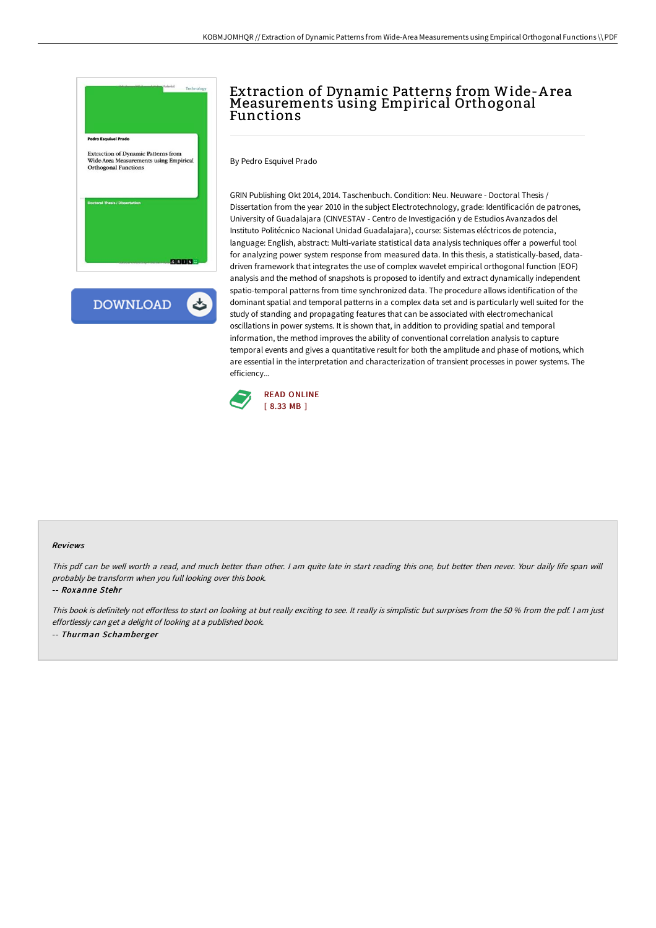

## Extraction of Dynamic Patterns from Wide-A rea Measurements using Empirical Orthogonal Functions

By Pedro Esquivel Prado

GRIN Publishing Okt 2014, 2014. Taschenbuch. Condition: Neu. Neuware - Doctoral Thesis / Dissertation from the year 2010 in the subject Electrotechnology, grade: Identificación de patrones, University of Guadalajara (CINVESTAV - Centro de Investigación y de Estudios Avanzados del Instituto Politécnico Nacional Unidad Guadalajara), course: Sistemas eléctricos de potencia, language: English, abstract: Multi-variate statistical data analysis techniques offer a powerful tool for analyzing power system response from measured data. In this thesis, a statistically-based, datadriven framework that integrates the use of complex wavelet empirical orthogonal function (EOF) analysis and the method of snapshots is proposed to identify and extract dynamically independent spatio-temporal patterns from time synchronized data. The procedure allows identification of the dominant spatial and temporal patterns in a complex data set and is particularly well suited for the study of standing and propagating features that can be associated with electromechanical oscillations in power systems. It is shown that, in addition to providing spatial and temporal information, the method improves the ability of conventional correlation analysis to capture temporal events and gives a quantitative result for both the amplitude and phase of motions, which are essential in the interpretation and characterization of transient processes in power systems. The efficiency...



## Reviews

This pdf can be well worth <sup>a</sup> read, and much better than other. <sup>I</sup> am quite late in start reading this one, but better then never. Your daily life span will probably be transform when you full looking over this book.

-- Roxanne Stehr

This book is definitely not effortless to start on looking at but really exciting to see. It really is simplistic but surprises from the 50 % from the pdf. I am just effortlessly can get <sup>a</sup> delight of looking at <sup>a</sup> published book. -- Thurman Schamberger